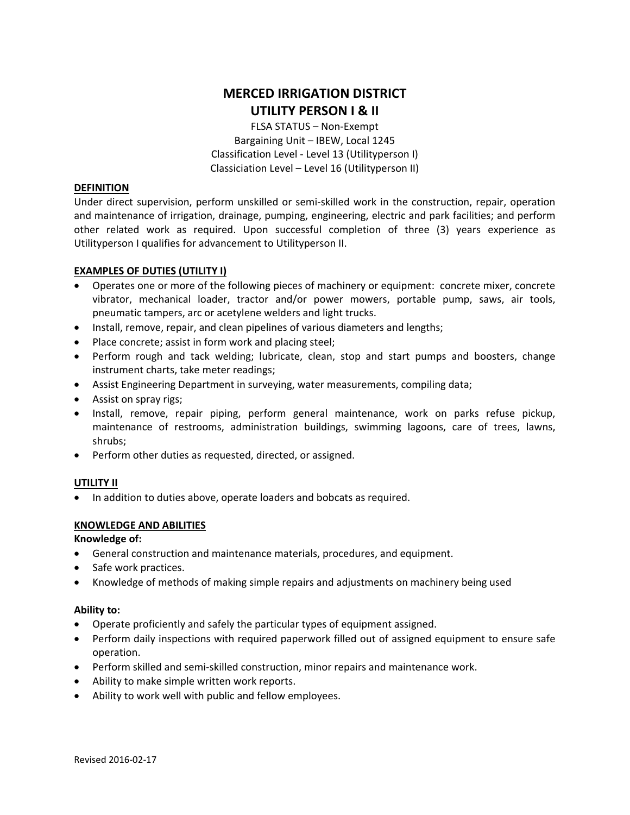# **MERCED IRRIGATION DISTRICT UTILITY PERSON I & II**

FLSA STATUS – Non‐Exempt Bargaining Unit – IBEW, Local 1245 Classification Level ‐ Level 13 (Utilityperson I) Classiciation Level – Level 16 (Utilityperson II)

## **DEFINITION**

Under direct supervision, perform unskilled or semi‐skilled work in the construction, repair, operation and maintenance of irrigation, drainage, pumping, engineering, electric and park facilities; and perform other related work as required. Upon successful completion of three (3) years experience as Utilityperson I qualifies for advancement to Utilityperson II.

### **EXAMPLES OF DUTIES (UTILITY I)**

- Operates one or more of the following pieces of machinery or equipment: concrete mixer, concrete vibrator, mechanical loader, tractor and/or power mowers, portable pump, saws, air tools, pneumatic tampers, arc or acetylene welders and light trucks.
- Install, remove, repair, and clean pipelines of various diameters and lengths;
- Place concrete; assist in form work and placing steel;
- Perform rough and tack welding; lubricate, clean, stop and start pumps and boosters, change instrument charts, take meter readings;
- Assist Engineering Department in surveying, water measurements, compiling data;
- Assist on spray rigs;
- Install, remove, repair piping, perform general maintenance, work on parks refuse pickup, maintenance of restrooms, administration buildings, swimming lagoons, care of trees, lawns, shrubs;
- Perform other duties as requested, directed, or assigned.

### **UTILITY II**

• In addition to duties above, operate loaders and bobcats as required.

### **KNOWLEDGE AND ABILITIES**

### **Knowledge of:**

- General construction and maintenance materials, procedures, and equipment.
- Safe work practices.
- Knowledge of methods of making simple repairs and adjustments on machinery being used

### **Ability to:**

- Operate proficiently and safely the particular types of equipment assigned.
- Perform daily inspections with required paperwork filled out of assigned equipment to ensure safe operation.
- Perform skilled and semi‐skilled construction, minor repairs and maintenance work.
- Ability to make simple written work reports.
- Ability to work well with public and fellow employees.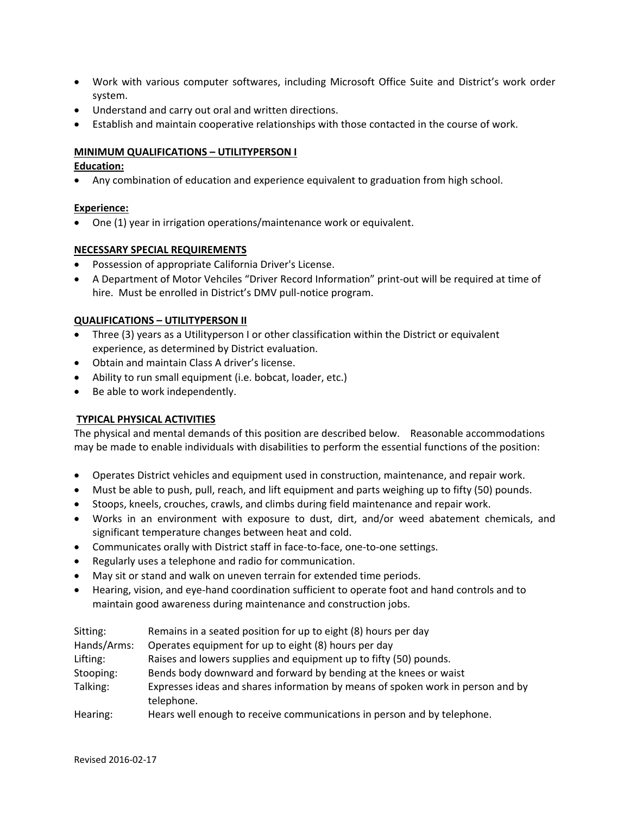- Work with various computer softwares, including Microsoft Office Suite and District's work order system.
- Understand and carry out oral and written directions.
- Establish and maintain cooperative relationships with those contacted in the course of work.

# **MINIMUM QUALIFICATIONS – UTILITYPERSON I**

# **Education:**

• Any combination of education and experience equivalent to graduation from high school.

# **Experience:**

• One (1) year in irrigation operations/maintenance work or equivalent.

## **NECESSARY SPECIAL REQUIREMENTS**

- Possession of appropriate California Driver's License.
- A Department of Motor Vehciles "Driver Record Information" print‐out will be required at time of hire. Must be enrolled in District's DMV pull-notice program.

## **QUALIFICATIONS – UTILITYPERSON II**

- Three (3) years as a Utilityperson I or other classification within the District or equivalent experience, as determined by District evaluation.
- Obtain and maintain Class A driver's license.
- Ability to run small equipment (i.e. bobcat, loader, etc.)
- Be able to work independently.

# **TYPICAL PHYSICAL ACTIVITIES**

The physical and mental demands of this position are described below. Reasonable accommodations may be made to enable individuals with disabilities to perform the essential functions of the position:

- Operates District vehicles and equipment used in construction, maintenance, and repair work.
- Must be able to push, pull, reach, and lift equipment and parts weighing up to fifty (50) pounds.
- Stoops, kneels, crouches, crawls, and climbs during field maintenance and repair work.
- Works in an environment with exposure to dust, dirt, and/or weed abatement chemicals, and significant temperature changes between heat and cold.
- Communicates orally with District staff in face-to-face, one-to-one settings.
- Regularly uses a telephone and radio for communication.
- May sit or stand and walk on uneven terrain for extended time periods.
- Hearing, vision, and eye‐hand coordination sufficient to operate foot and hand controls and to maintain good awareness during maintenance and construction jobs.

| Sitting:    | Remains in a seated position for up to eight (8) hours per day                                |
|-------------|-----------------------------------------------------------------------------------------------|
| Hands/Arms: | Operates equipment for up to eight (8) hours per day                                          |
| Lifting:    | Raises and lowers supplies and equipment up to fifty (50) pounds.                             |
| Stooping:   | Bends body downward and forward by bending at the knees or waist                              |
| Talking:    | Expresses ideas and shares information by means of spoken work in person and by<br>telephone. |
| Hearing:    | Hears well enough to receive communications in person and by telephone.                       |